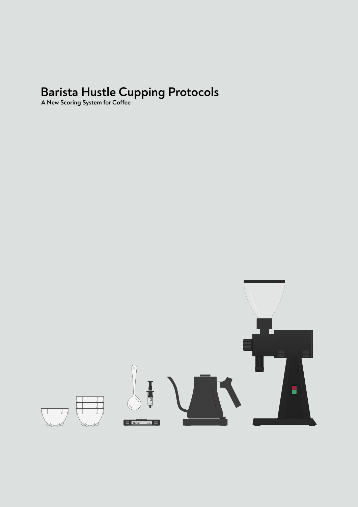### **Barista Hustle Cupping Protocols**

**A New Scoring System for Coffee** 

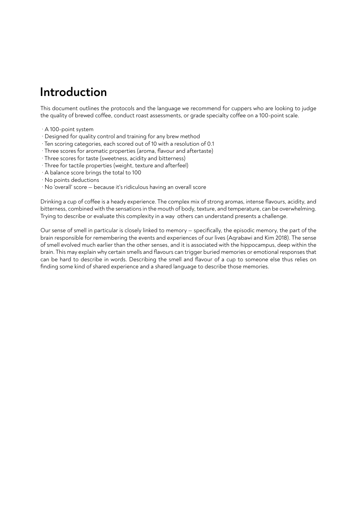### **Introduction**

This document outlines the protocols and the language we recommend for cuppers who are looking to judge the quality of brewed coffee, conduct roast assessments, or grade specialty coffee on a 100-point scale.

- · A 100-point system
- · Designed for quality control and training for any brew method
- · Ten scoring categories, each scored out of 10 with a resolution of 0.1
- · Three scores for aromatic properties (aroma, flavour and aftertaste)
- · Three scores for taste (sweetness, acidity and bitterness)
- · Three for tactile properties (weight, texture and afterfeel)
- · A balance score brings the total to 100
- · No points deductions
- · No 'overall' score because it's ridiculous having an overall score

Drinking a cup of coffee is a heady experience. The complex mix of strong aromas, intense flavours, acidity, and bitterness, combined with the sensations in the mouth of body, texture, and temperature, can be overwhelming. Trying to describe or evaluate this complexity in a way others can understand presents a challenge.

Our sense of smell in particular is closely linked to memory — specifically, the episodic memory, the part of the brain responsible for remembering the events and experiences of our lives (Aqrabawi and Kim 2018). The sense of smell evolved much earlier than the other senses, and it is associated with the hippocampus, deep within the brain. This may explain why certain smells and flavours can trigger buried memories or emotional responses that can be hard to describe in words. Describing the smell and flavour of a cup to someone else thus relies on finding some kind of shared experience and a shared language to describe those memories.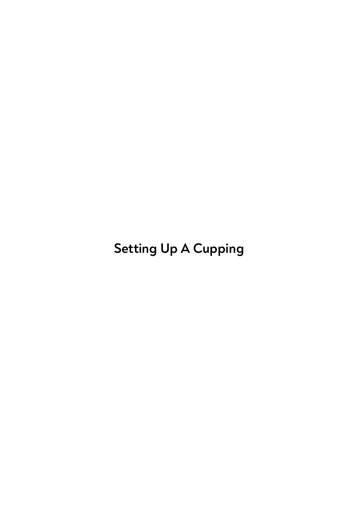**Setting Up A Cupping**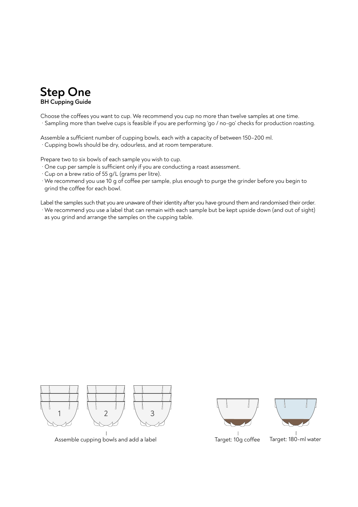

Choose the coffees you want to cup. We recommend you cup no more than twelve samples at one time. · Sampling more than twelve cups is feasible if you are performing 'go / no-go' checks for production roasting.

Assemble a sufficient number of cupping bowls, each with a capacity of between 150-200 ml. · Cupping bowls should be dry, odourless, and at room temperature.

Prepare two to six bowls of each sample you wish to cup.

- $\cdot$  One cup per sample is sufficient only if you are conducting a roast assessment.
- · Cup on a brew ratio of 55 g/L (grams per litre).
- · We recommend you use 10 g of coffee per sample, plus enough to purge the grinder before you begin to grind the coffee for each bowl.

Label the samples such that you are unaware of their identity after you have ground them and randomised their order. · We recommend you use a label that can remain with each sample but be kept upside down (and out of sight) as you grind and arrange the samples on the cupping table.



Assemble cupping bowls and add a label Target: 10g coffee Target: 180-ml water

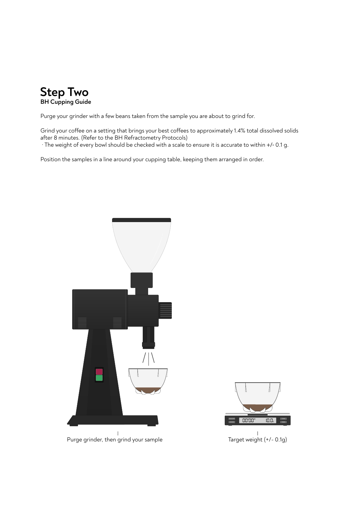

Purge your grinder with a few beans taken from the sample you are about to grind for.

Grind your coffee on a setting that brings your best coffees to approximately 1.4% total dissolved solids after 8 minutes. (Refer to the BH Refractometry Protocols) · The weight of every bowl should be checked with a scale to ensure it is accurate to within +/- 0.1 g.

Position the samples in a line around your cupping table, keeping them arranged in order.



Purge grinder, then grind your sample Target weight (+/- 0.1g)

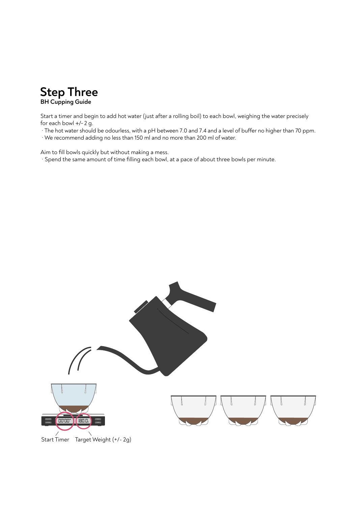

Start a timer and begin to add hot water (just after a rolling boil) to each bowl, weighing the water precisely for each bowl +/- 2 g.

- · The hot water should be odourless, with a pH between 7.0 and 7.4 and a level of buffer no higher than 70 ppm.
- · We recommend adding no less than 150 ml and no more than 200 ml of water.

Aim to fill bowls quickly but without making a mess.

· Spend the same amount of time filling each bowl, at a pace of about three bowls per minute.

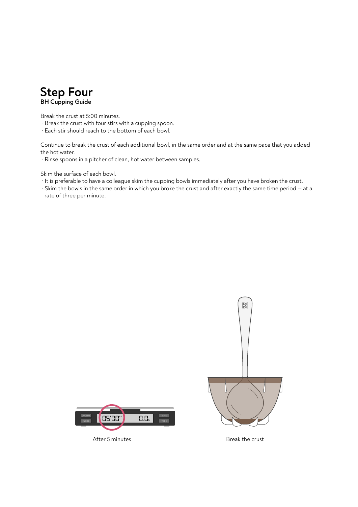

Break the crust at 5:00 minutes.

- · Break the crust with four stirs with a cupping spoon.
- · Each stir should reach to the bottom of each bowl.

Continue to break the crust of each additional bowl, in the same order and at the same pace that you added the hot water.

· Rinse spoons in a pitcher of clean, hot water between samples.

Skim the surface of each bowl.

- · It is preferable to have a colleague skim the cupping bowls immediately after you have broken the crust.
- · Skim the bowls in the same order in which you broke the crust and after exactly the same time period at a rate of three per minute.



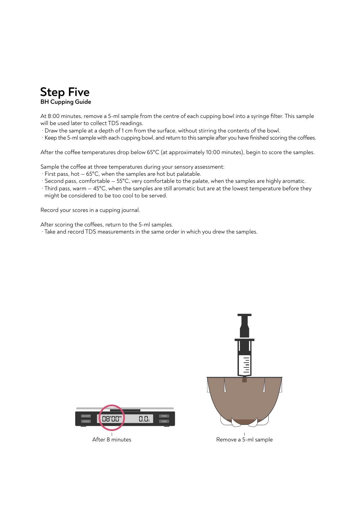

At 8:00 minutes, remove a 5-ml sample from the centre of each cupping bowl into a syringe filter. This sample will be used later to collect TDS readings.

- · Draw the sample at a depth of 1 cm from the surface, without stirring the contents of the bowl.
- · Keep the 5-ml sample with each cupping bowl, and return to this sample after you have finished scoring the coffees.

After the coffee temperatures drop below 65°C (at approximately 10:00 minutes), begin to score the samples.

Sample the coffee at three temperatures during your sensory assessment:

- · First pass, hot 65°C, when the samples are hot but palatable.
- · Second pass, comfortable 55°C, very comfortable to the palate, when the samples are highly aromatic.
- · Third pass, warm 45°C, when the samples are still aromatic but are at the lowest temperature before they might be considered to be too cool to be served.

Record your scores in a cupping journal.

After scoring the coffees, return to the 5-ml samples.

· Take and record TDS measurements in the same order in which you drew the samples.

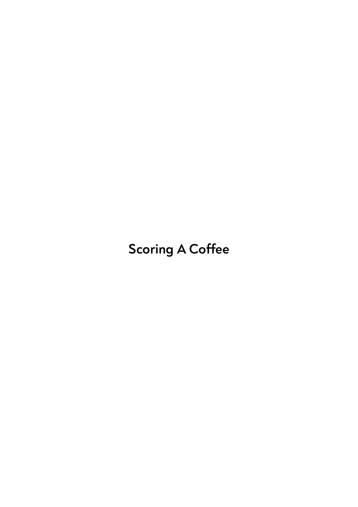# **Scoring A Coffee**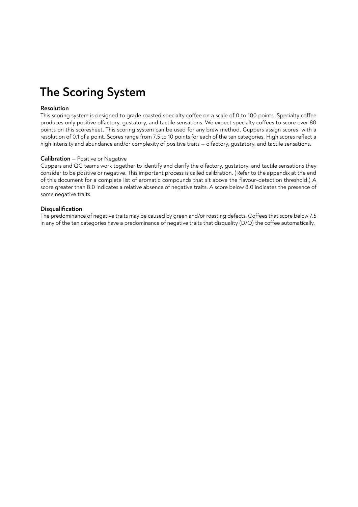# **The Scoring System**

#### **Resolution**

This scoring system is designed to grade roasted specialty coffee on a scale of 0 to 100 points. Specialty coffee produces only positive olfactory, qustatory, and tactile sensations. We expect specialty coffees to score over 80 points on this scoresheet. This scoring system can be used for any brew method. Cuppers assign scores with a resolution of 0.1 of a point. Scores range from 7.5 to 10 points for each of the ten categories. High scores reflect a high intensity and abundance and/or complexity of positive traits — olfactory, gustatory, and tactile sensations.

#### **Calibration** — Positive or Negative

Cuppers and QC teams work together to identify and clarify the olfactory, gustatory, and tactile sensations they consider to be positive or negative. This important process is called calibration. (Refer to the appendix at the end of this document for a complete list of aromatic compounds that sit above the flavour-detection threshold.) A score greater than 8.0 indicates a relative absence of negative traits. A score below 8.0 indicates the presence of some negative traits.

#### **Disqualification**

The predominance of negative traits may be caused by green and/or roasting defects. Coffees that score below 7.5 in any of the ten categories have a predominance of negative traits that disquality  $(D/Q)$  the coffee automatically.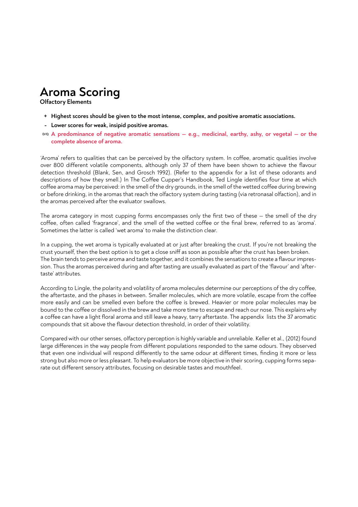### **Aroma Scoring**

**Olfactory Elements**

- **Highest scores should be given to the most intense, complex, and positive aromatic associations. +**
- **Lower scores for weak, insipid positive aromas. -**
- **A predominance of negative aromatic sensations e.g., medicinal, earthy, ashy, or vegetal or the D/Q complete absence of aroma.**

'Aroma' refers to qualities that can be perceived by the olfactory system. In coffee, aromatic qualities involve over 800 different volatile components, although only 37 of them have been shown to achieve the flavour detection threshold (Blank, Sen, and Grosch 1992). (Refer to the appendix for a list of these odorants and descriptions of how they smell.) In The Coffee Cupper's Handbook, Ted Lingle identifies four time at which coffee aroma may be perceived: in the smell of the dry grounds, in the smell of the wetted coffee during brewing or before drinking, in the aromas that reach the olfactory system during tasting (via retronasal olfaction), and in the aromas perceived after the evaluator swallows.

The aroma category in most cupping forms encompasses only the first two of these — the smell of the dry coffee, often called 'fragrance', and the smell of the wetted coffee or the final brew, referred to as 'aroma'. Sometimes the latter is called 'wet aroma' to make the distinction clear.

In a cupping, the wet aroma is typically evaluated at or just after breaking the crust. If you're not breaking the crust yourself, then the best option is to get a close sniff as soon as possible after the crust has been broken. The brain tends to perceive aroma and taste together, and it combines the sensations to create a flavour impression. Thus the aromas perceived during and after tasting are usually evaluated as part of the 'flavour' and 'aftertaste' attributes.

According to Lingle, the polarity and volatility of aroma molecules determine our perceptions of the dry coffee, the aftertaste, and the phases in between. Smaller molecules, which are more volatile, escape from the coffee more easily and can be smelled even before the coffee is brewed. Heavier or more polar molecules may be bound to the coffee or dissolved in the brew and take more time to escape and reach our nose. This explains why a coffee can have a light floral aroma and still leave a heavy, tarry aftertaste. The appendix lists the 37 aromatic compounds that sit above the flavour detection threshold, in order of their volatility.

Compared with our other senses, olfactory perception is highly variable and unreliable. Keller et al., (2012) found large differences in the way people from different populations responded to the same odours. They observed that even one individual will respond differently to the same odour at different times, finding it more or less strong but also more or less pleasant. To help evaluators be more objective in their scoring, cupping forms separate out different sensory attributes, focusing on desirable tastes and mouthfeel.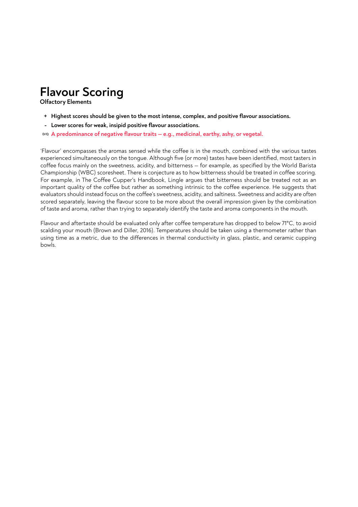### **Flavour Scoring**

**Olfactory Elements**

- **Highest scores should be given to the most intense, complex, and positive flavour associations. +**
- **Lower scores for weak, insipid positive flavour associations. -**
- **A predominance of negative flavour traits e.g., medicinal, earthy, ashy, or vegetal. D/Q**

'Flavour' encompasses the aromas sensed while the coffee is in the mouth, combined with the various tastes experienced simultaneously on the tongue. Although five (or more) tastes have been identified, most tasters in coffee focus mainly on the sweetness, acidity, and bitterness – for example, as specified by the World Barista Championship (WBC) scoresheet. There is conjecture as to how bitterness should be treated in coffee scoring. For example, in The Coffee Cupper's Handbook, Lingle argues that bitterness should be treated not as an important quality of the coffee but rather as something intrinsic to the coffee experience. He suggests that evaluators should instead focus on the coffee's sweetness, acidity, and saltiness. Sweetness and acidity are often scored separately, leaving the flavour score to be more about the overall impression given by the combination of taste and aroma, rather than trying to separately identify the taste and aroma components in the mouth.

Flavour and aftertaste should be evaluated only after coffee temperature has dropped to below 71°C, to avoid scalding your mouth (Brown and Diller, 2016). Temperatures should be taken using a thermometer rather than using time as a metric, due to the differences in thermal conductivity in glass, plastic, and ceramic cupping bowls.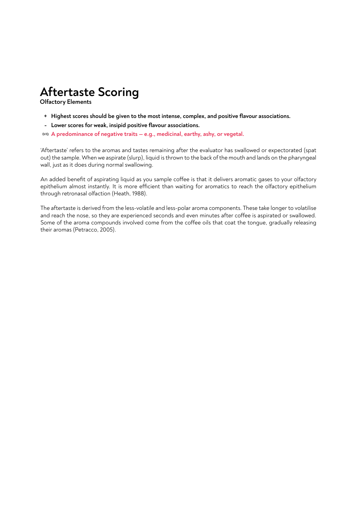# **Aftertaste Scoring**

**Olfactory Elements**

- **Highest scores should be given to the most intense, complex, and positive flavour associations. +**
- **Lower scores for weak, insipid positive flavour associations. -**
- **A predominance of negative traits e.g., medicinal, earthy, ashy, or vegetal. D/Q**

'Aftertaste' refers to the aromas and tastes remaining after the evaluator has swallowed or expectorated (spat out) the sample. When we aspirate (slurp), liquid is thrown to the back of the mouth and lands on the pharyngeal wall, just as it does during normal swallowing.

An added benefit of aspirating liquid as you sample coffee is that it delivers aromatic gases to your olfactory epithelium almost instantly. It is more efficient than waiting for aromatics to reach the olfactory epithelium through retronasal olfaction (Heath, 1988).

The aftertaste is derived from the less-volatile and less-polar aroma components. These take longer to volatilise and reach the nose, so they are experienced seconds and even minutes after coffee is aspirated or swallowed. Some of the aroma compounds involved come from the coffee oils that coat the tongue, gradually releasing their aromas (Petracco, 2005).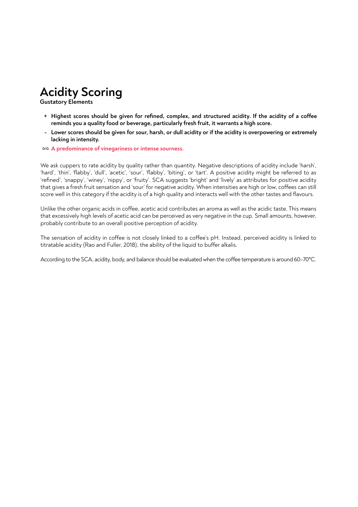# **Acidity Scoring**

**Gustatory Elements**

- + Highest scores should be given for refined, complex, and structured acidity. If the acidity of a coffee **reminds you a quality food or beverage, particularly fresh fruit, it warrants a high score.**
- **Lower scores should be given for sour, harsh, or dull acidity or if the acidity is overpowering or extremely lacking in intensity.**
- **A predominance of vinegariness or intense sourness. D/Q**

We ask cuppers to rate acidity by quality rather than quantity. Negative descriptions of acidity include 'harsh', 'hard', 'thin', 'flabby', 'dull', 'acetic', 'sour', 'flabby', 'biting', or 'tart'. A positive acidity might be referred to as 'refined', 'snappy', 'winey', 'nippy', or 'fruity'. SCA suggests 'bright' and 'lively' as attributes for positive acidity that gives a fresh fruit sensation and 'sour' for negative acidity. When intensities are high or low, coffees can still score well in this category if the acidity is of a high quality and interacts well with the other tastes and flavours.

Unlike the other organic acids in coffee, acetic acid contributes an aroma as well as the acidic taste. This means that excessively high levels of acetic acid can be perceived as very negative in the cup. Small amounts, however, probably contribute to an overall positive perception of acidity.

The sensation of acidity in coffee is not closely linked to a coffee's pH. Instead, perceived acidity is linked to titratable acidity (Rao and Fuller, 2018), the ability of the liquid to buffer alkalis.

According to the SCA, acidity, body, and balance should be evaluated when the coffee temperature is around 60-70°C.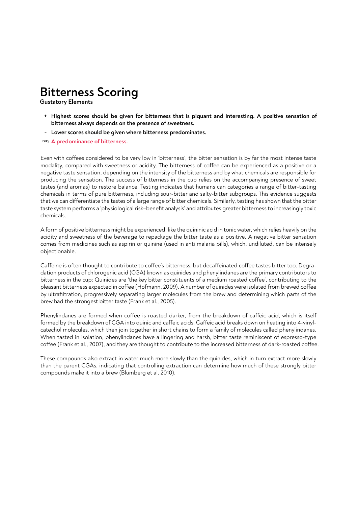### **Bitterness Scoring**

**Gustatory Elements**

- **Highest scores should be given for bitterness that is piquant and interesting. A positive sensation of + bitterness always depends on the presence of sweetness.**
- **Lower scores should be given where bitterness predominates. -**
- **A predominance of bitterness. D/Q**

Even with coffees considered to be very low in 'bitterness', the bitter sensation is by far the most intense taste modality, compared with sweetness or acidity. The bitterness of coffee can be experienced as a positive or a negative taste sensation, depending on the intensity of the bitterness and by what chemicals are responsible for producing the sensation. The success of bitterness in the cup relies on the accompanying presence of sweet tastes (and aromas) to restore balance. Testing indicates that humans can categories a range of bitter-tasting chemicals in terms of pure bitterness, including sour-bitter and salty-bitter subgroups. This evidence suggests that we can differentiate the tastes of a large range of bitter chemicals. Similarly, testing has shown that the bitter taste system performs a 'physiological risk–benefit analysis' and attributes greater bitterness to increasingly toxic chemicals.

A form of positive bitterness might be experienced, like the quininic acid in tonic water, which relies heavily on the acidity and sweetness of the beverage to repackage the bitter taste as a positive. A negative bitter sensation comes from medicines such as aspirin or quinine (used in anti malaria pills), which, undiluted, can be intensely objectionable.

Caffeine is often thought to contribute to coffee's bitterness, but decaffeinated coffee tastes bitter too. Degradation products of chlorogenic acid (CGA) known as quinides and phenylindanes are the primary contributors to bitterness in the cup: Quinides are 'the key bitter constituents of a medium roasted coffee', contributing to the pleasant bitterness expected in coffee (Hofmann, 2009). A number of quinides were isolated from brewed coffee by ultrafiltration, progressively separating larger molecules from the brew and determining which parts of the brew had the strongest bitter taste (Frank et al., 2005).

Phenylindanes are formed when coffee is roasted darker, from the breakdown of caffeic acid, which is itself formed by the breakdown of CGA into quinic and caffeic acids. Caffeic acid breaks down on heating into 4-vinylcatechol molecules, which then join together in short chains to form a family of molecules called phenylindanes. When tasted in isolation, phenylindanes have a lingering and harsh, bitter taste reminiscent of espresso-type coffee (Frank et al., 2007), and they are thought to contribute to the increased bitterness of dark-roasted coffee.

These compounds also extract in water much more slowly than the quinides, which in turn extract more slowly than the parent CGAs, indicating that controlling extraction can determine how much of these strongly bitter compounds make it into a brew (Blumberg et al. 2010).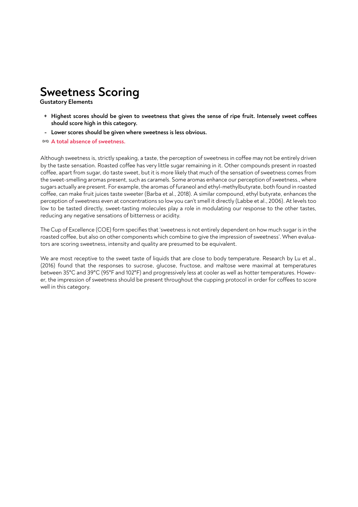### **Sweetness Scoring**

**Gustatory Elements**

- **+** Highest scores should be given to sweetness that gives the sense of ripe fruit. Intensely sweet coffees **should score high in this category.**
- **Lower scores should be given where sweetness is less obvious. -**
- **A total absence of sweetness. D/Q**

Although sweetness is, strictly speaking, a taste, the perception of sweetness in coffee may not be entirely driven by the taste sensation. Roasted coffee has very little sugar remaining in it. Other compounds present in roasted coffee, apart from sugar, do taste sweet, but it is more likely that much of the sensation of sweetness comes from the sweet-smelling aromas present, such as caramels. Some aromas enhance our perception of sweetness., where sugars actually are present. For example, the aromas of furaneol and ethyl-methylbutyrate, both found in roasted coffee, can make fruit juices taste sweeter (Barba et al., 2018). A similar compound, ethyl butyrate, enhances the perception of sweetness even at concentrations so low you can't smell it directly (Labbe et al., 2006). At levels too low to be tasted directly, sweet-tasting molecules play a role in modulating our response to the other tastes, reducing any negative sensations of bitterness or acidity.

The Cup of Excellence (COE) form specifies that 'sweetness is not entirely dependent on how much sugar is in the roasted coffee, but also on other components which combine to give the impression of sweetness'. When evaluators are scoring sweetness, intensity and quality are presumed to be equivalent.

We are most receptive to the sweet taste of liquids that are close to body temperature. Research by Lu et al., (2016) found that the responses to sucrose, glucose, fructose, and maltose were maximal at temperatures between 35°C and 39°C (95°F and 102°F) and progressively less at cooler as well as hotter temperatures. However, the impression of sweetness should be present throughout the cupping protocol in order for coffees to score well in this category.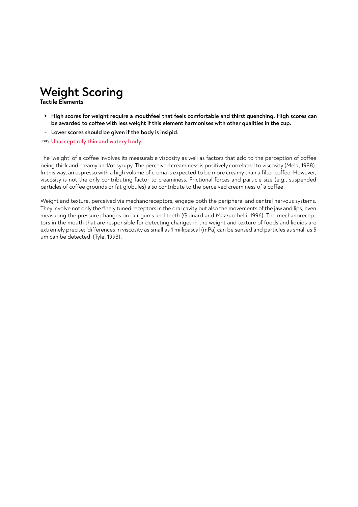# **Weight Scoring**

**Tactile Elements**

- **High scores for weight require a mouthfeel that feels comfortable and thirst quenching. High scores can +** be awarded to coffee with less weight if this element harmonises with other qualities in the cup.
- **Lower scores should be given if the body is insipid. -**
- **Unacceptably thin and watery body. D/Q**

The 'weight' of a coffee involves its measurable viscosity as well as factors that add to the perception of coffee being thick and creamy and/or syrupy. The perceived creaminess is positively correlated to viscosity (Mela, 1988). In this way, an espresso with a high volume of crema is expected to be more creamy than a filter coffee. However, viscosity is not the only contributing factor to creaminess. Frictional forces and particle size (e.g., suspended particles of coffee grounds or fat globules) also contribute to the perceived creaminess of a coffee.

Weight and texture, perceived via mechanoreceptors, engage both the peripheral and central nervous systems. They involve not only the finely tuned receptors in the oral cavity but also the movements of the jaw and lips, even measuring the pressure changes on our gums and teeth (Guinard and Mazzucchelli, 1996). The mechanoreceptors in the mouth that are responsible for detecting changes in the weight and texture of foods and liquids are extremely precise: 'differences in viscosity as small as 1 millipascal (mPa) can be sensed and particles as small as 5 µm can be detected' (Tyle, 1993).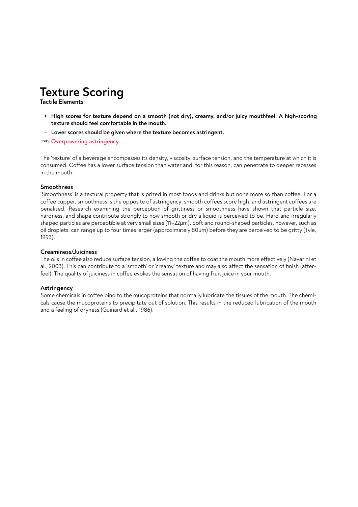# **Texture Scoring**

**Tactile Elements**

- **High scores for texture depend on a smooth (not dry), creamy, and/or juicy mouthfeel. A high-scoring + texture should feel comfortable in the mouth.**
- **Lower scores should be given where the texture becomes astringent. -**
- **Overpowering astringency. D/Q**

The 'texture' of a beverage encompasses its density, viscosity, surface tension, and the temperature at which it is consumed. Coffee has a lower surface tension than water and, for this reason, can penetrate to deeper recesses in the mouth.

#### **Smoothness**

'Smoothness' is a textural property that is prized in most foods and drinks but none more so than coffee. For a coffee cupper, smoothness is the opposite of astringency; smooth coffees score high, and astringent coffees are penalised. Research examining the perception of grittiness or smoothness have shown that particle size, hardness, and shape contribute strongly to how smooth or dry a liquid is perceived to be. Hard and irregularly shaped particles are perceptible at very small sizes (11–22µm). Soft and round-shaped particles, however, such as oil droplets, can range up to four times larger (approximately 80µm) before they are perceived to be gritty (Tyle, 1993).

#### **Creaminess/Juiciness**

The oils in coffee also reduce surface tension, allowing the coffee to coat the mouth more effectively (Navarini et al., 2003). This can contribute to a 'smooth' or 'creamy' texture and may also affect the sensation of finish (afterfeel). The quality of juiciness in coffee evokes the sensation of having fruit juice in your mouth.

#### **Astringency**

Some chemicals in coffee bind to the mucoproteins that normally lubricate the tissues of the mouth. The chemicals cause the mucoproteins to precipitate out of solution. This results in the reduced lubrication of the mouth and a feeling of dryness (Guinard et al., 1986).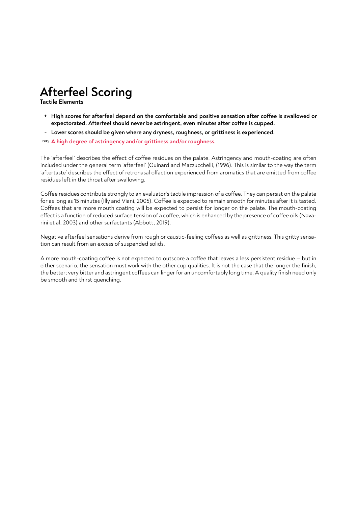# **Afterfeel Scoring**

**Tactile Elements**

- + High scores for afterfeel depend on the comfortable and positive sensation after coffee is swallowed or expectorated. Afterfeel should never be astringent, even minutes after coffee is cupped.
- **Lower scores should be given where any dryness, roughness, or grittiness is experienced. -**

**A high degree of astringency and/or grittiness and/or roughness. D/Q**

The 'afterfeel' describes the effect of coffee residues on the palate. Astringency and mouth-coating are often included under the general term 'afterfeel' (Guinard and Mazzucchelli, (1996). This is similar to the way the term 'aftertaste' describes the effect of retronasal olfaction experienced from aromatics that are emitted from coffee residues left in the throat after swallowing.

Coffee residues contribute strongly to an evaluator's tactile impression of a coffee. They can persist on the palate for as long as 15 minutes (Illy and Viani, 2005). Coffee is expected to remain smooth for minutes after it is tasted. Coffees that are more mouth coating will be expected to persist for longer on the palate. The mouth-coating effect is a function of reduced surface tension of a coffee, which is enhanced by the presence of coffee oils (Navarini et al, 2003) and other surfactants (Abbott, 2019).

Negative afterfeel sensations derive from rough or caustic-feeling coffees as well as grittiness. This gritty sensation can result from an excess of suspended solids.

A more mouth-coating coffee is not expected to outscore a coffee that leaves a less persistent residue – but in either scenario, the sensation must work with the other cup qualities. It is not the case that the longer the finish, the better; very bitter and astringent coffees can linger for an uncomfortably long time. A quality finish need only be smooth and thirst quenching.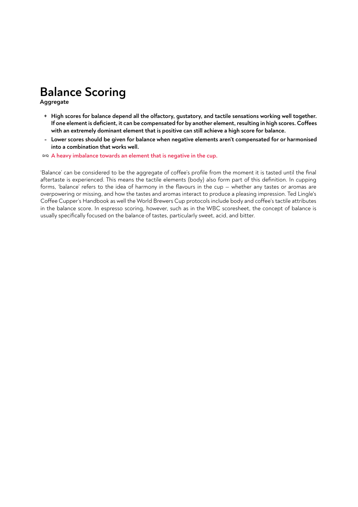## **Balance Scoring**

**Aggregate**

- **High scores for balance depend all the olfactory, gustatory, and tactile sensations working well together. +** If one element is deficient, it can be compensated for by another element, resulting in high scores. Coffees **with an extremely dominant element that is positive can still achieve a high score for balance.**
- **Lower scores should be given for balance when negative elements aren't compensated for or harmonised into a combination that works well.**

**A heavy imbalance towards an element that is negative in the cup. D/Q**

'Balance' can be considered to be the aggregate of coffee's profile from the moment it is tasted until the final aftertaste is experienced. This means the tactile elements (body) also form part of this definition. In cupping forms, 'balance' refers to the idea of harmony in the flavours in the cup — whether any tastes or aromas are overpowering or missing, and how the tastes and aromas interact to produce a pleasing impression. Ted Lingle's Coffee Cupper's Handbook as well the World Brewers Cup protocols include body and coffee's tactile attributes in the balance score. In espresso scoring, however, such as in the WBC scoresheet, the concept of balance is usually specifically focused on the balance of tastes, particularly sweet, acid, and bitter.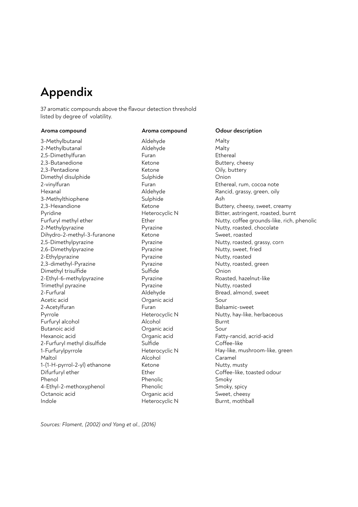### **Appendix**

37 aromatic compounds above the flavour detection threshold listed by degree of volatility.

#### **Aroma compound Aroma compound Odour description**

3-Methylbutanal 2-Methylbutanal 2,5-Dimethylfuran 2,3-Butanedione 2,3-Pentadione Dimethyl disulphide 2-vinylfuran Hexanal 3-Methylthiophene 2,3-Hexandione Pyridine Furfuryl methyl ether 2-Methylpyrazine Dihydro-2-methyl-3-furanone 2,5-Dimethylpyrazine 2,6-Dimethylpyrazine 2-Ethylpyrazine 2,3-dimethyl-Pyrazine Dimethyl trisulfide 2-Ethyl-6-methylpyrazine Trimethyl pyrazine 2-Furfural Acetic acid 2-Acetylfuran Pyrrole Furfuryl alcohol Butanoic acid Hexanoic acid 2-Furfuryl methyl disulfide 1-Furfurylpyrrole Maltol 1-(1-H-pyrrol-2-yl) ethanone Difurfuryl ether Phenol 4-Ethyl-2-methoxyphenol Octanoic acid Indole

#### Aldehyde Aldehyde Furan Ketone Ketone Sulphide Furan Aldehyde Sulphide Ketone Heterocyclic N Ether Pyrazine Ketone Pyrazine Pyrazine Pyrazine Pyrazine Sulfide Pyrazine Pyrazine Aldehyde Organic acid Furan Heterocyclic N Alcohol Organic acid Organic acid Sulfide Heterocyclic N Alcohol Ketone Ether Phenolic Phenolic Organic acid Heterocyclic N

Malty Malty Ethereal Buttery, cheesy Oily, buttery Onion Ethereal, rum, cocoa note Rancid, grassy, green, oily Ash Buttery, cheesy, sweet, creamy Bitter, astringent, roasted, burnt Nutty, coffee grounds-like, rich, phenolic Nutty, roasted, chocolate Sweet, roasted Nutty, roasted, grassy, corn Nutty, sweet, fried Nutty, roasted Nutty, roasted, green Onion Roasted, hazelnut-like Nutty, roasted Bread, almond, sweet Sour Balsamic-sweet Nutty, hay-like, herbaceous Burnt Sour Fatty-rancid, acrid-acid Coffee-like Hay-like, mushroom-like, green Caramel Nutty, musty Coffee-like, toasted odour Smoky Smoky, spicy Sweet, cheesy Burnt, mothball

*Sources: Flament, (2002) and Yang et al., (2016)*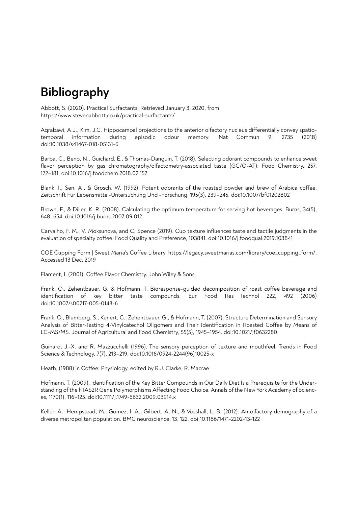### **Bibliography**

Abbott, S. (2020). Practical Surfactants. Retrieved January 3, 2020, from https://www.stevenabbott.co.uk/practical-surfactants/

Agrabawi, A.J., Kim, J.C. Hippocampal projections to the anterior olfactory nucleus differentially convey spatiotemporal information during episodic odour memory. Nat Commun 9, 2735 (2018) doi:10.1038/s41467-018-05131-6

Barba, C., Beno, N., Guichard, E., & Thomas-Danguin, T. (2018). Selecting odorant compounds to enhance sweet flavor perception by gas chromatography/olfactometry-associated taste (GC/O-AT). Food Chemistry, 257, 172–181. doi:10.1016/j.foodchem.2018.02.152

Blank, I., Sen, A., & Grosch, W. (1992). Potent odorants of the roasted powder and brew of Arabica coffee. Zeitschrift Fur Lebensmittel-Untersuchung Und -Forschung, 195(3), 239–245. doi:10.1007/bf01202802

Brown, F., & Diller, K. R. (2008). Calculating the optimum temperature for serving hot beverages. Burns, 34(5), 648–654. doi:10.1016/j.burns.2007.09.012

Carvalho, F. M., V. Moksunova, and C. Spence (2019). Cup texture influences taste and tactile judgments in the evaluation of specialty coffee. Food Quality and Preference, 103841. doi:10.1016/j.foodqual.2019.103841

COE Cupping Form | Sweet Maria's Coffee Library. https://legacy.sweetmarias.com/library/coe\_cupping\_form/. Accessed 13 Dec. 2019

Flament, I. (2001). Coffee Flavor Chemistry. John Wiley & Sons.

Frank, O., Zehentbauer, G. & Hofmann, T. Bioresponse-quided decomposition of roast coffee beverage and identification of key bitter taste compounds. Eur Food Res Technol 222, 492 (2006) doi:10.1007/s00217-005-0143-6

Frank, O., Blumberg, S., Kunert, C., Zehentbauer, G., & Hofmann, T. (2007). Structure Determination and Sensory Analysis of Bitter-Tasting 4-Vinylcatechol Oligomers and Their Identification in Roasted Coffee by Means of LC-MS/MS. Journal of Agricultural and Food Chemistry, 55(5), 1945–1954. doi:10.1021/jf0632280

Guinard, J.-X. and R. Mazzucchelli (1996). The sensory perception of texture and mouthfeel. Trends in Food Science & Technology, 7(7), 213–219. doi:10.1016/0924-2244(96)10025-x

Heath, (1988) in Coffee: Physiology, edited by R.J. Clarke, R. Macrae

Hofmann, T. (2009). Identification of the Key Bitter Compounds in Our Daily Diet Is a Prerequisite for the Understanding of the hTAS2R Gene Polymorphisms Affecting Food Choice. Annals of the New York Academy of Sciences, 1170(1), 116–125. doi:10.1111/j.1749-6632.2009.03914.x

Keller, A., Hempstead, M., Gomez, I. A., Gilbert, A. N., & Vosshall, L. B. (2012). An olfactory demography of a diverse metropolitan population. BMC neuroscience, 13, 122. doi:10.1186/1471-2202-13-122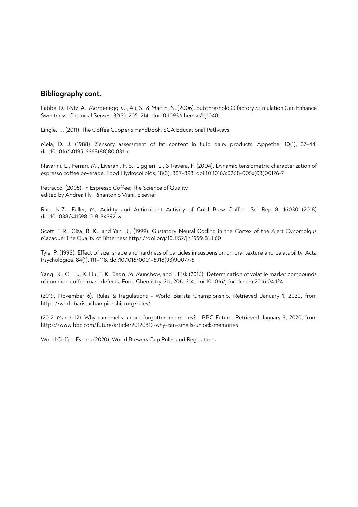#### **Bibliography cont.**

Labbe, D., Rytz, A., Morgenegg, C., Ali, S., & Martin, N. (2006). Subthreshold Olfactory Stimulation Can Enhance Sweetness. Chemical Senses, 32(3), 205–214. doi:10.1093/chemse/bjl040

Lingle, T., (2011). The Coffee Cupper's Handbook. SCA Educational Pathways.

Mela, D. J. (1988). Sensory assessment of fat content in fluid dairy products. Appetite, 10(1), 37–44. doi:10.1016/s0195-6663(88)80 031-x

Navarini, L., Ferrari, M., Liverani, F. S., Liggieri, L., & Ravera, F. (2004). Dynamic tensiometric characterization of espresso coffee beverage. Food Hydrocolloids, 18(3), 387-393. doi:10.1016/s0268-005x(03)00126-7

Petracco, (2005). in Espresso Coffee: The Science of Quality edited by Andrea Illy, Rinantonio Viani. Elsevier

Rao, N.Z., Fuller, M. Acidity and Antioxidant Activity of Cold Brew Coffee. Sci Rep 8, 16030 (2018) doi:10.1038/s41598-018-34392-w

Scott, T R., Giza, B. K., and Yan, J., (1999). Gustatory Neural Coding in the Cortex of the Alert Cynomolgus Macaque: The Quality of Bitterness https://doi.org/10.1152/jn.1999.81.1.60

Tyle, P. (1993). Effect of size, shape and hardness of particles in suspension on oral texture and palatability. Acta Psychologica, 84(1), 111–118. doi:10.1016/0001-6918(93)90077-5

Yang, N., C. Liu, X. Liu, T. K. Degn, M. Munchow, and I. Fisk (2016). Determination of volatile marker compounds of common coffee roast defects. Food Chemistry, 211, 206-214. doi:10.1016/j.foodchem.2016.04.124

(2019, November 6). Rules & Regulations - World Barista Championship. Retrieved January 1, 2020, from https://worldbaristachampionship.org/rules/

(2012, March 12). Why can smells unlock forgotten memories? - BBC Future. Retrieved January 3, 2020, from https://www.bbc.com/future/article/20120312-why-can-smells-unlock-memories

World Coffee Events (2020), World Brewers Cup Rules and Regulations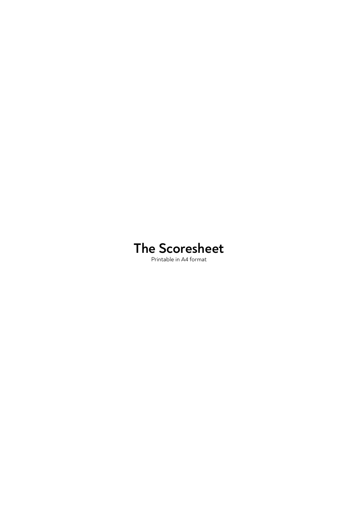# **The Scoresheet**

Printable in A4 format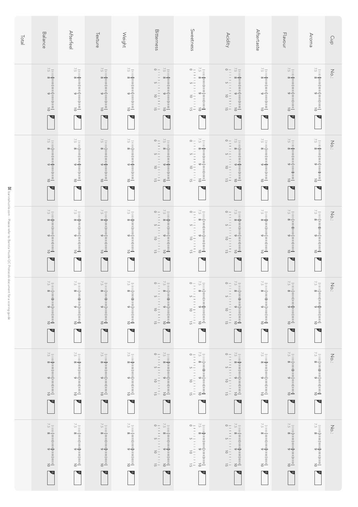| <b>Total</b> | Balance                                                                                         | Afterfee                                                   | Texture                                                                            | <b>Weight</b>                                                                                     | Bitterness                                                                                                                                                                                                                                                                                                                                                                                                                                                                                       | Sweetness                                                                                                                                                            | <b>Acidity</b>                                                                                                                                                                                                                                                                                                                                                                                                                                                                                                                  | Aftertaste                                                                                      | Flavour                                                                                                                                                                                     | Aroma                                                                               | Cup                             |
|--------------|-------------------------------------------------------------------------------------------------|------------------------------------------------------------|------------------------------------------------------------------------------------|---------------------------------------------------------------------------------------------------|--------------------------------------------------------------------------------------------------------------------------------------------------------------------------------------------------------------------------------------------------------------------------------------------------------------------------------------------------------------------------------------------------------------------------------------------------------------------------------------------------|----------------------------------------------------------------------------------------------------------------------------------------------------------------------|---------------------------------------------------------------------------------------------------------------------------------------------------------------------------------------------------------------------------------------------------------------------------------------------------------------------------------------------------------------------------------------------------------------------------------------------------------------------------------------------------------------------------------|-------------------------------------------------------------------------------------------------|---------------------------------------------------------------------------------------------------------------------------------------------------------------------------------------------|-------------------------------------------------------------------------------------|---------------------------------|
|              | $\frac{6}{1}$<br>$\frac{8}{1}$<br>$\sim$                                                        | $\overline{\phantom{a}}$                                   | $\frac{6}{1}$<br>$\frac{8}{1}$<br>$\bullet$                                        | $\frac{6}{1}$<br>$\frac{8}{1}$<br>$\overline{\phantom{a}}$                                        | $\frac{6}{1}$<br>$\frac{8}{1}$<br>$\frac{57}{1}$<br>$\frac{1}{1}$<br>$\frac{1}{1}$<br>$\frac{1}{1}$<br>$\frac{1}{1}$<br>$\frac{1}{1}$<br>$\frac{1}{1}$<br>$\sim$                                                                                                                                                                                                                                                                                                                                 | $\frac{6}{1}$<br>$\frac{8}{1}$<br>$\begin{array}{c cccc}\n1 & 1 & 1 & 1 & 1 & 1 & 1 & 1 & 1 & 1 & 1 \\ \hline\n1 & 1 & 1 & 1 & 1 & 1 & 1 & 1 & 1 & 1 \\ \end{array}$ | $\frac{6}{1}$<br>$\frac{8}{1}$<br>$\frac{57}{1}$<br>$\frac{1}{1}$ $\frac{1}{1}$ $\frac{1}{1}$ $\frac{1}{1}$ $\frac{1}{1}$ $\frac{1}{1}$ $\frac{1}{1}$ $\frac{1}{1}$ $\frac{1}{1}$<br>$\sim$                                                                                                                                                                                                                                                                                                                                     | $\frac{6}{1}$<br>$\frac{8}{1}$<br>$\overline{\mathcal{C}}$                                      | $\frac{6}{\vert 1111\vert 1111\vert 1111\vert 1111\vert 1111\vert}$<br>$\overline{\phantom{a}}$                                                                                             | $\frac{6}{1}$<br>$\frac{8}{1}$<br>ত                                                 | $\sum\limits_{\cdot\cdot\cdot}$ |
|              | $\overline{\circ}$                                                                              | $\overline{\phantom{a}}$                                   | $\frac{6}{\vert 1111\vert 1111\vert 1111\vert 1111\vert 1111\vert 1111\vert}$<br>ख | $\frac{6}{\vert 1111\vert 1111\vert 1111\vert 1111\vert 1111\vert 1}$<br>$\overline{\phantom{a}}$ | $\begin{array}{cc} 01 & 6 & 8 \\ 1 & 1 & 1 & 1 & 1 \\ \end{array}$<br>$\begin{array}{c ccccc}\n1 & 1 & 1 & 1 & 1 & 1 & 1 & 1 & 1 & 1 & 1 \\ \hline\n1 & 1 & 1 & 1 & 1 & 1 & 1 & 1 & 1 & 1 & 1\n\end{array}$<br>$\overline{\mathbf{e}}$                                                                                                                                                                                                                                                           | $\frac{6}{\ln  1  + \ln  1  + \ln  1  + \ln  1  + \ln  1  + \ln  1 }$<br>$\frac{1}{1}$<br>$\frac{1}{5}$<br>$\frac{1}{10}$<br>$\frac{1}{10}$<br>$\frac{1}{15}$        | $\frac{6}{1}$<br>$\frac{8}{1}$                                                                                                                                                                                                                                                                                                                                                                                                                                                                                                  | $\frac{6}{\vert 1111\vert 1111\vert 1111\vert 1111\vert 1111\vert 1111\vert}$<br>$\overline{e}$ | $\frac{6}{1}$<br>$\frac{8}{1}$<br>$\frac{57}{1}$<br>$\overline{\phantom{a}}$                                                                                                                | $\frac{1}{\frac{1}{2}}$<br>$\epsilon$                                               | $\sum\limits_{\mathbf{C}}$      |
|              | $\frac{6}{1}$<br>$\frac{8}{1}$<br>$\overline{\circ}$                                            | $\frac{6}{1}$<br>$\frac{8}{1}$<br>$\overline{\phantom{a}}$ | $\frac{6}{1}$<br>$\frac{8}{1}$<br>$\overline{\mathbf{e}}$                          | $\frac{6}{1}$<br>$\frac{8}{1}$<br>$\overline{\phantom{a}}$                                        | $\begin{array}{c ccccc}\n1 & 1 & 1 & 1 & 1 & 1 & 1 & 1 & 1 & 1 \\ \hline\n1 & 1 & 1 & 1 & 1 & 1 & 1 & 1 & 1 \\ \end{array}$                                                                                                                                                                                                                                                                                                                                                                      | $\frac{1}{1}$<br>$\frac{1}{1}$<br>$\frac{1}{1}$<br>$\frac{1}{1}$<br>$\frac{1}{1}$<br>$\frac{1}{1}$<br>$\frac{1}{1}$                                                  | $\frac{6}{1}$<br>$\frac{8}{1}$                                                                                                                                                                                                                                                                                                                                                                                                                                                                                                  | $\frac{6}{1}$<br>$\frac{8}{1}$<br>$\overline{\circ}$                                            | $\frac{6}{\vert 1111 \vert 1111 \vert 1111 \vert 1111 \vert 1111 \vert 1}$<br>$\overline{\phantom{a}}$                                                                                      | $\frac{6}{\vert 1111 \vert 1111 \vert 1111 \vert 1111 \vert 1111 \vert 1111 \vert}$ | $\sum\limits_{\cdot\cdot\cdot}$ |
|              | $\overline{\mathcal{L}}$                                                                        | $\overline{\mathcal{S}}$                                   | $\overline{\mathcal{L}}$                                                           | $\overline{\phantom{a}}$                                                                          | $\begin{array}{c cc} 51 & 01 & 5 & 0 \\ 1 & 1 & 1 & 1 & 1 & 1 & 1 \\ 01 & 6 & 8 & 52 & 1 \\ 11 & 1 & 1 & 1 & 1 & 1 & 1 \\ \end{array}$<br>$\overline{e}$                                                                                                                                                                                                                                                                                                                                         | $\begin{array}{c cc} 51 & 01 & 5 & 0 \\ 1 & 1 & 1 & 1 & 1 & 1 & 1 & 1 \\ 01 & 6 & 8 & 52 & 1 & 1 & 1 \\ \hline \end{array}$<br>$\overline{\phantom{a}}$              | $\begin{array}{c} 51 \\ -1 + 1 + 1 + 1 + 1 + 1 + 1 + 1 \\ 01 \\ -11 + 1 + 1 + 1 + 1 + 1 + 1 \\ 6 \\ -11 + 1 + 1 + 1 + 1 + 1 + 1 \\ 1 & 8 \\ -11 + 1 + 1 + 1 + 1 + 1 + 1 \end{array}$<br>$\overline{\mathcal{C}}$                                                                                                                                                                                                                                                                                                                | $\bullet$                                                                                       | $\begin{array}{c} 01 \\ \hline \end{array} \quad \begin{array}{c} 6 \\ \hline 8 \\ \end{array} \quad \begin{array}{c} 8 \\ \hline 8 \\ \end{array} \end{array}$<br>$\overline{\phantom{a}}$ | $\frac{6}{\ln  1  \ln  1  \ln  1  \ln  1  \ln  1  \ln  1 }$<br>७                    | $\sum_{i=1}^{n}$                |
|              | $\frac{6}{1}$<br>$\frac{8}{1}$<br>$\overline{\mathbf{e}}$                                       | $\frac{6}{1}$<br>$\frac{8}{1}$<br>$\overline{\phantom{a}}$ | $\frac{1}{1}$<br>$\frac{8}{1}$<br>$\frac{8}{1}$<br>$\frac{2}{1}$<br>$\bullet$      | $\frac{1}{1}$<br>$\frac{8}{1}$<br>$\frac{8}{8}$<br>$\frac{2}{1}$<br>$\overline{\mathbf{e}}$       | $\begin{array}{ccc}\n 01 & 6 & 8 \\  1 & 1 & 1 & 1 & 1 & 1 & 1 & 1 & 1 & 1 & 1 & 1 & 1\n\end{array}$<br>$\frac{1}{1}$<br>$\frac{1}{1}$<br>$\frac{1}{1}$<br>$\frac{1}{1}$<br>$\frac{1}{1}$<br>$\frac{1}{1}$<br>$\overline{\phantom{a}}$                                                                                                                                                                                                                                                           | $\frac{6}{\frac{1}{2}}$ 8 s <sup>2</sup><br>$\frac{1}{1}$<br>$\frac{1}{1}$<br>$\frac{1}{1}$<br>$\frac{1}{1}$<br>$\frac{1}{1}$<br>$\frac{1}{1}$<br>$\frac{1}{1}$      | $\frac{6}{1}$<br>$\frac{8}{1}$<br>$\overline{\phantom{a}}$                                                                                                                                                                                                                                                                                                                                                                                                                                                                      | $\frac{6}{\vert 1111\vert 1111\vert 1111\vert 1111\vert 1111\vert 1111\vert}$<br>$\bullet$      | $\frac{1}{2}$<br>$\frac{8}{8}$<br>$\frac{57}{8}$<br>$\overline{\bullet}$                                                                                                                    | $\frac{1}{2}$<br>$\frac{8}{8}$<br>$\frac{57}{8}$<br>$\bullet$                       | $\sum\limits_{\mathbf{C}}$      |
|              | $\frac{6}{\vert 1111\vert 1111\vert 1111\vert 1111\vert 1111\vert}$<br>$\overline{\phantom{a}}$ | $\overline{\phantom{a}}$                                   | $\frac{6}{\vert 1111\vert 1111\vert 1111\vert 1111\vert 1111\vert}$<br>$\bullet$   | $\frac{1}{2}$<br>$\frac{8}{8}$<br>$\frac{5}{2}$<br>$\overline{\phantom{0}}$                       | $\frac{6}{\ln  1  + \ln  1  + \ln  1  + \ln  1  + \ln  1  + \ln  1  + \ln  1  + \ln  1  + \ln  1  + \ln  1  + \ln  1  + \ln  1  + \ln  1  + \ln  1  + \ln  1  + \ln  1  + \ln  1  + \ln  1  + \ln  1  + \ln  1  + \ln  1  + \ln  1  + \ln  1  + \ln  1  + \ln  1  + \ln  1  + \ln  1  + \ln  1  + \ln  1  + \ln  1  + \ln  1  + \ln  1  + \ln  1  + \ln  1  + \ln  1  + \ln  1 $<br>$\frac{1}{1}$<br>$\frac{1}{1}$<br>$\frac{1}{1}$<br>$\frac{1}{1}$<br>$\frac{1}{1}$<br>$\frac{1}{1}$<br>$\sim$ | $\begin{array}{c ccccc}\n1 & 1 & 1 & 1 & 1 & 1 & 1 & 1 & 1 & 1 \\ \hline\n1 & 1 & 1 & 1 & 1 & 1 & 1 & 1 & 1 & 1 \\ \end{array}$                                      | $\frac{6}{\ln  1  + \ln  1  + \ln  1  + \ln  1  + \ln  1  + \ln  1  + \ln  1  + \ln  1  + \ln  1  + \ln  1  + \ln  1  + \ln  1  + \ln  1  + \ln  1  + \ln  1  + \ln  1  + \ln  1  + \ln  1  + \ln  1  + \ln  1  + \ln  1  + \ln  1  + \ln  1  + \ln  1  + \ln  1  + \ln  1  + \ln  1  + \ln  1  + \ln  1  + \ln  1  + \ln  1  + \ln  1  + \ln  1  + \ln  1  + \ln  1  + \ln  1 $<br>$\frac{1}{1}$ $\frac{1}{1}$ $\frac{1}{1}$ $\frac{1}{1}$ $\frac{1}{1}$ $\frac{1}{1}$ $\frac{1}{1}$ $\frac{1}{1}$ $\frac{1}{1}$ $\frac{1}{1}$ | $\begin{array}{ccc}\n 01 & 6 & 8 \\  1 & 8 & 52\n \end{array}$<br>ত                             | $\frac{1}{1}$<br>$\frac{8}{1}$<br>$\frac{8}{8}$<br>$\frac{2}{1}$<br>$\overline{\phantom{a}}$                                                                                                | $\frac{1}{1}$<br>$\frac{8}{1}$<br>$\frac{8}{1}$<br>$\frac{2}{1}$<br>$\sim$          | $\sum\limits_{\mathbf{C}}$      |

**Bil** baristahustle.com - Please refer to Barista Hustle QC Protocols document for a scoring guide baristahustle.com - Please refer to Barista Hustle QC Protocols document for a scoring guide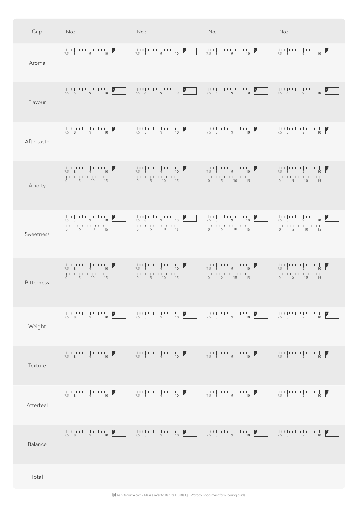baristahustle.com - Please refer to Barista Hustle QC Protocols document for a scoring guide

| Cup               | No.:                                                                                                                                                                                                                                                                                                                                                                                                                                                                                                                                                                    | $No.$ :                                                                                           | $No.$ :                                                                                        | $No.$ :                                                                                                                                                                                      |
|-------------------|-------------------------------------------------------------------------------------------------------------------------------------------------------------------------------------------------------------------------------------------------------------------------------------------------------------------------------------------------------------------------------------------------------------------------------------------------------------------------------------------------------------------------------------------------------------------------|---------------------------------------------------------------------------------------------------|------------------------------------------------------------------------------------------------|----------------------------------------------------------------------------------------------------------------------------------------------------------------------------------------------|
| Aroma             | $\begin{array}{c} \begin{array}{c} \begin{array}{c} \end{array} \\ \begin{array}{c} \end{array} \\ \begin{array}{c} \end{array} \\ \begin{array}{c} \end{array} \\ \begin{array}{c} \end{array} \\ \begin{array}{c} \end{array} \\ \begin{array}{c} \end{array} \\ \begin{array}{c} \end{array} \end{array} \end{array} \end{array} \begin{array}{c} \begin{array}{c} \end{array} \begin{array}{c} \end{array} \begin{array}{c} \end{array} \begin{array}{c} \end{array} \begin{array}{c} \end{array} \begin{array}{c} \end{array} \begin{array}{c} \end$<br>7.5 8 9 10 | mahammahamman o<br>7.5 8 9 10                                                                     | -   001  001  001  001  001  -<br>$\frac{1}{2}$<br>7.5 8 9 10                                  | - 1001 001 001 001 001 -<br>$\mathbf{P}$<br>$7.5 \t8 \t9 \t10$                                                                                                                               |
| Flavour           | 7.5 8 9 10                                                                                                                                                                                                                                                                                                                                                                                                                                                                                                                                                              | - [1111] 011] 011] 011] 011] - -<br>$\mathbf{P}$<br>7.5 $8$ 9 10                                  | -   001  001  001  001  001  -<br>7.5 8 9<br>10                                                | - 1001 001 001 001 001 -<br>7.5 8 9<br>$\overline{10}$ [                                                                                                                                     |
| Aftertaste        | -   000   000   000   000   000   - -<br>$\vert \cdot \vert$<br>7.5 8 9 10                                                                                                                                                                                                                                                                                                                                                                                                                                                                                              | -   1111   1111   1111   1111   1111  <br>$\overline{a}$<br>7.5 8 9 10                            | -   1111   1111   1111   1111   1111  <br>$\frac{9}{2}$<br>7.5 8 9 10                          | -   1111   1111   1111   1111   1111  <br>$\mathsf{P}$<br>7.5 8 9<br>10                                                                                                                      |
| Acidity           | -   1111   1111   1111   1111   1111   -<br>7.5 8 9<br>10<br>0 5 10 15                                                                                                                                                                                                                                                                                                                                                                                                                                                                                                  | -   1111   1111   1111   1111   1111  <br>7.5 8 9<br>10<br>$0 \t 5 \t 10 \t 15$                   | $[1111] \sqcup [1111] \sqcup [1111] \sqcup [1111] \sqcup \sqcup$<br>7.5 8 9<br>10<br>0 5 10 15 | $[1111] \cup [1111] \cup [1111] \cup [1111] \cup [1111]$<br>7.5 8 9<br>10<br>0 5 10 15                                                                                                       |
| Sweetness         | -   1111   1111   1111   1111   1111  <br>7.5 8 9 10<br>0 5 10 15                                                                                                                                                                                                                                                                                                                                                                                                                                                                                                       | $\mathsf{P}$<br>7.5 8 9 10<br>0 5 10 15                                                           | 7.5 8 9 10<br>0 5 10 15                                                                        | - 1000   000   000   000   000   -<br>7.5 8 9 10<br>0 5 10 15                                                                                                                                |
| <b>Bitterness</b> | -   1111   1111   1111   1111   1111   -<br>7.5 8 9<br>10<br>$\begin{bmatrix} 1 & 1 & 1 & 1 & 1 & 1 & 1 & 1 & 1 & 1 & 1 & 1 & 1 \\ 0 & 0 & 0 & 0 & 0 & 1 & 0 & 0 & 0 & 15 \end{bmatrix}$                                                                                                                                                                                                                                                                                                                                                                                | -   1111   1111   1111   1111   1111   -<br>$\mathsf{P}$<br>7.5 8 9<br>10<br>$0 \t 5 \t 10 \t 15$ | -   001  001  001  001  001  -<br>7.5 8 9<br>10<br>0 5 10 15                                   | -   1111   1111   1111   1111   1111   -<br>7.5 8 9 10<br>$\begin{array}{cccccccc}   &   &   &   &   &   &   &   &   &   &   &   &   &   &   &   \\ 0 & & & 5 & & & 10 & & & 15 \end{array}$ |
| Weight            | $7.5$ 8<br>9<br>10                                                                                                                                                                                                                                                                                                                                                                                                                                                                                                                                                      | - 1001   001   001   001   001   -<br>$\overline{a}$<br>$7.5 \quad 8$<br>9<br>10                  | -   001  001  001  001  001  -<br>$\frac{9}{2}$<br>$7.5 \quad 8$<br>9<br>10                    | -   1111   1111   1111   1111   1111  <br>$7.5 \t 8$<br>9<br>10                                                                                                                              |
| Texture           | - 100 (00 100 100 100 100 1<br>$7.5$ 8<br>9<br>10                                                                                                                                                                                                                                                                                                                                                                                                                                                                                                                       | - 100   00   00   00   00   00  <br>$7.5$ 8<br>9<br>10                                            | -   000   000   000   000   000   -<br>$7.5 \quad 8$<br>9<br>10 <sup>10</sup>                  | -   1111   1111   1111   1111   1111  <br>7.5 8<br>9<br>10 <sup>°</sup>                                                                                                                      |
| Afterfeel         | - 1000 000 000 000 000 000 000 000<br>$\vert \cdot \rangle$<br>10 <sup>°</sup><br>$7.5 \t 8$<br>9                                                                                                                                                                                                                                                                                                                                                                                                                                                                       | -   1111   1111   1111   1111   1111   -<br>$\mathbf{P}$<br>$7.5 \t 8$<br>$\overline{9}$<br>10    | -   001  001  001  001  001  0<br>$\mathbf{P}$<br>$7.5 \quad 8$<br>9<br>10                     | - 1001 001 001 001 001 1<br>$\mathsf{P}$<br>$7.5 \t 8$<br>9<br>10                                                                                                                            |
| Balance           | - 1000 000 000 000 000 1<br>l9<br>7.5 8 9<br>10                                                                                                                                                                                                                                                                                                                                                                                                                                                                                                                         | -   001  001  001  001  001  -<br>$\mathbf{P}$<br>7.5 8<br>9<br>10                                | -   000   000   000   000   000   -<br>7.5 8<br>9<br>10 <sup>°</sup>                           | - 100   00   00   00   00   00  <br>7.5 8 9<br>10                                                                                                                                            |
| Total             |                                                                                                                                                                                                                                                                                                                                                                                                                                                                                                                                                                         |                                                                                                   |                                                                                                |                                                                                                                                                                                              |